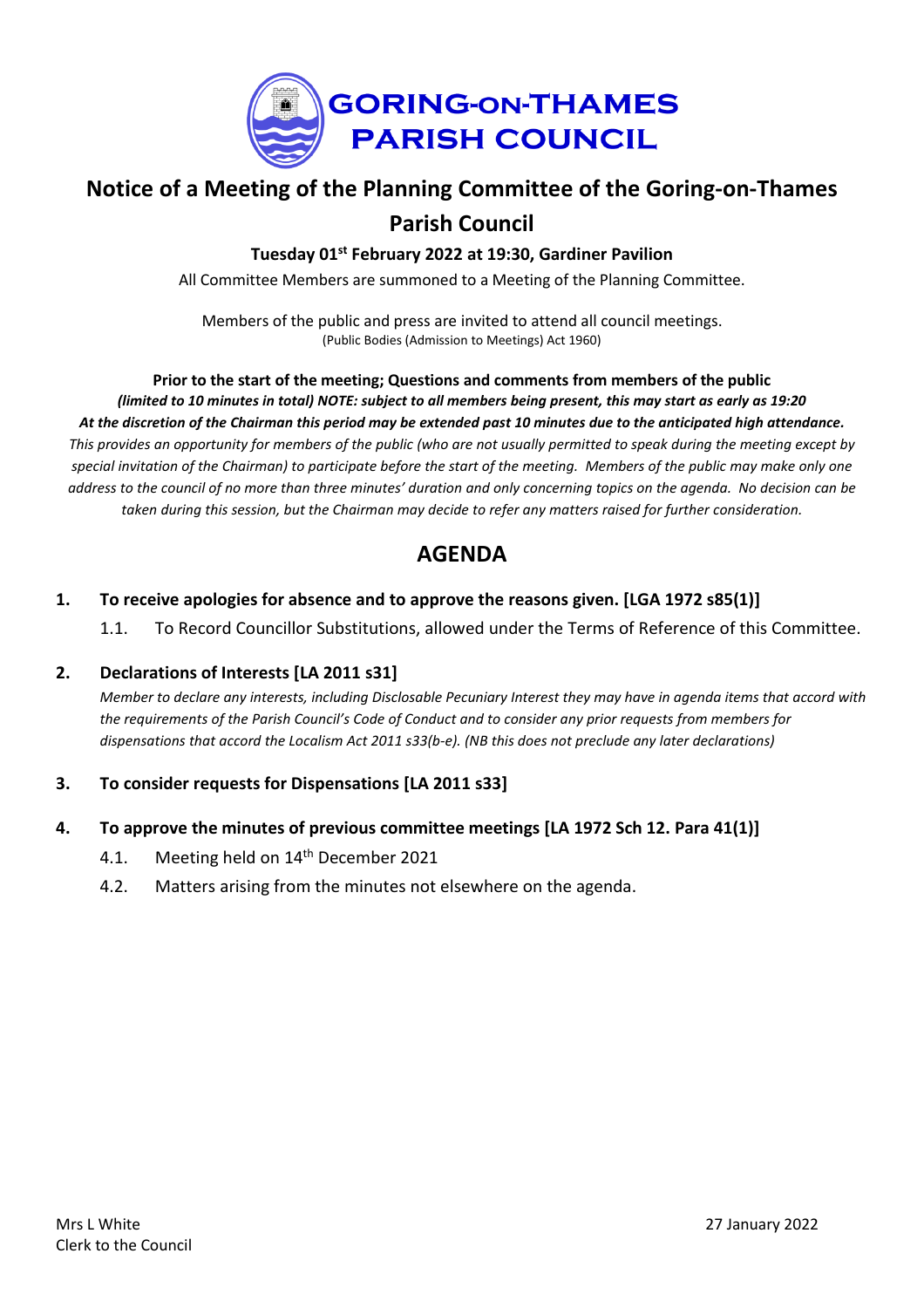

# **Notice of a Meeting of the Planning Committee of the Goring-on-Thames Parish Council**

**Tuesday 01st February 2022 at 19:30, Gardiner Pavilion**

All Committee Members are summoned to a Meeting of the Planning Committee.

Members of the public and press are invited to attend all council meetings. (Public Bodies (Admission to Meetings) Act 1960)

**Prior to the start of the meeting; Questions and comments from members of the public** (limited to 10 minutes in total) NOTE: subject to all members being present, this may start as early as 19:20 At the discretion of the Chairman this period may be extended past 10 minutes due to the anticipated high attendance. This provides an opportunity for members of the public (who are not usually permitted to speak during the meeting except by special invitation of the Chairman) to participate before the start of the meeting. Members of the public may make only one address to the council of no more than three minutes' duration and only concerning topics on the agenda. No decision can be taken during this session, but the Chairman may decide to refer any matters raised for further consideration.

## **AGENDA**

## **1. To receive apologies for absence and to approve the reasons given. [LGA 1972 s85(1)]**

1.1. To Record Councillor Substitutions, allowed under the Terms of Reference of this Committee.

#### **2. Declarations of Interests [LA 2011 s31]**

Member to declare any interests, including Disclosable Pecuniary Interest they may have in agenda items that accord with the requirements of the Parish Council's Code of Conduct and to consider any prior requests from members for *dispensations that accord the Localism Act 2011 s33(b-e). (NB this does not preclude any later declarations)*

## **3. To consider requests for Dispensations [LA 2011 s33]**

#### **4. To approve the minutes of previous committee meetings [LA 1972 Sch 12. Para 41(1)]**

- 4.1. Meeting held on 14<sup>th</sup> December 2021
- 4.2. Matters arising from the minutes not elsewhere on the agenda.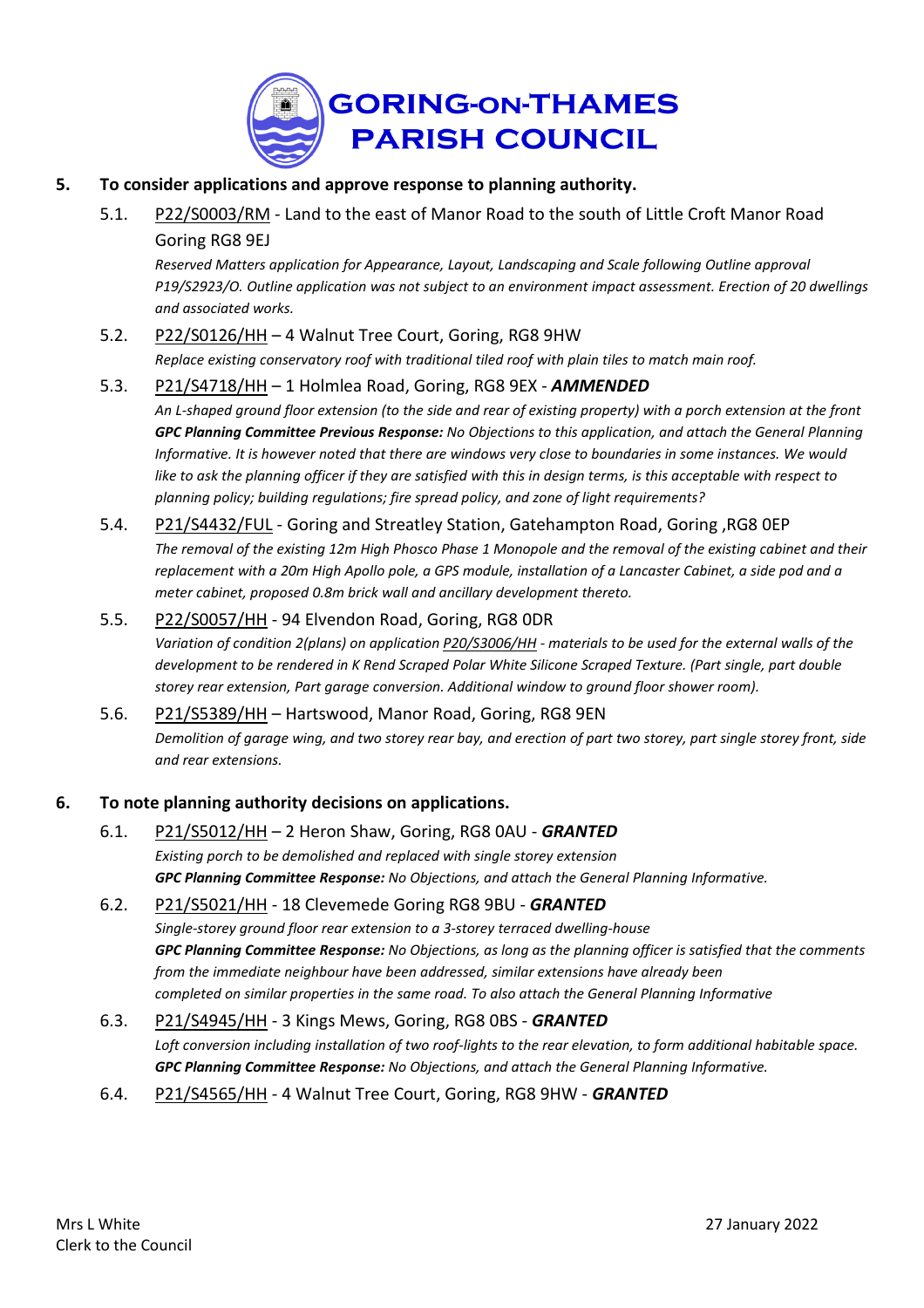

- **5. To consider applications and approve response to planning authority.**
	- 5.1. [P22/S0003/RM](https://data.southoxon.gov.uk/ccm/support/Main.jsp?MODULE=ApplicationDetails&REF=P22/S0003/RM) Land to the east of Manor Road to the south of Little Croft Manor Road Goring RG8 9EJ

*Reserved Matters application for Appearance, Layout, Landscaping and Scale following Outline approval P19/S2923/O. Outline application was not subject to an environment impact assessment. Erection of 20 dwellings and associated works.*

## 5.2. [P22/S0126/HH](https://data.southoxon.gov.uk/ccm/support/Main.jsp?MODULE=ApplicationDetails&REF=P22/S0126/HH) – 4 Walnut Tree Court, Goring, RG8 9HW

*Replace existing conservatory roof with traditional tiled roof with plain tiles to match main roof.*

#### 5.3. [P21/S4718/HH](https://data.southoxon.gov.uk/ccm/support/Main.jsp?MODULE=ApplicationDetails&REF=P21/S4718/HH) – 1 Holmlea Road, Goring, RG8 9EX - *AMMENDED*

An L-shaped ground floor extension (to the side and rear of existing property) with a porch extension at the front *GPC Planning Committee Previous Response: No Objections to this application, and attach the General Planning* Informative. It is however noted that there are windows very close to boundaries in some instances. We would like to ask the planning officer if they are satisfied with this in design terms, is this acceptable with respect to *planning policy; building regulations; fire spread policy, and zone of light requirements?*

#### 5.4. [P21/S4432/FUL](https://data.southoxon.gov.uk/ccm/support/Main.jsp?MODULE=ApplicationDetails&REF=P21/S4432/FUL) - Goring and Streatley Station, Gatehampton Road, Goring, RG8 0EP

The removal of the existing 12m High Phosco Phase 1 Monopole and the removal of the existing cabinet and their replacement with a 20m High Apollo pole, a GPS module, installation of a Lancaster Cabinet, a side pod and a *meter cabinet, proposed 0.8m brick wall and ancillary development thereto.*

## 5.5. [P22/S0057/HH](https://data.southoxon.gov.uk/ccm/support/Main.jsp?MODULE=ApplicationDetails&REF=P22/S0057/HH) - 94 Elvendon Road, Goring, RG8 0DR

Variation of condition 2(plans) on application [P20/S3006/HH](https://data.southoxon.gov.uk/ccm/support/Main.jsp?MODULE=ApplicationDetails&REF=P20/S3006/HH) - materials to be used for the external walls of the development to be rendered in K Rend Scraped Polar White Silicone Scraped Texture. (Part single, part double *storey rear extension, Part garage conversion. Additional window to ground floor shower room).*

## 5.6. [P21/S5389/HH](https://data.southoxon.gov.uk/ccm/support/Main.jsp?MODULE=ApplicationDetails&REF=P21/S5389/HH) – Hartswood, Manor Road, Goring, RG8 9EN

Demolition of garage wing, and two storey rear bay, and erection of part two storey, part single storey front, side *and rear extensions.*

#### **6. To note planning authority decisions on applications.**

6.1. [P21/S5012/HH](https://data.southoxon.gov.uk/ccm/support/Main.jsp?MODULE=ApplicationDetails&REF=P21/S5012/HH) – 2 Heron Shaw, Goring, RG8 0AU - *GRANTED Existing porch to be demolished and replaced with single storey extension GPC Planning Committee Response: No Objections, and attach the General Planning Informative.*

## 6.2. [P21/S5021/HH](https://data.southoxon.gov.uk/ccm/support/Main.jsp?MODULE=ApplicationDetails&REF=P21/S5021/HH) - 18 Clevemede Goring RG8 9BU - *GRANTED Single-storey ground floor rear extension to a 3-storey terraced dwelling-house* GPC Planning Committee Response: No Objections, as long as the planning officer is satisfied that the comments *from the immediate neighbour have been addressed, similar extensions have already been completed on similar properties in the same road. To also attach the General Planning Informative*

## 6.3. [P21/S4945/HH](https://data.southoxon.gov.uk/ccm/support/Main.jsp?MODULE=ApplicationDetails&REF=P21/S4945/HH) - 3 Kings Mews, Goring, RG8 0BS - *GRANTED* Loft conversion including installation of two roof-lights to the rear elevation, to form additional habitable space. *GPC Planning Committee Response: No Objections, and attach the General Planning Informative.*

## 6.4. [P21/S4565/HH](https://data.southoxon.gov.uk/ccm/support/Main.jsp?MODULE=ApplicationDetails&REF=P21/S4565/HH) - 4 Walnut Tree Court, Goring, RG8 9HW - *GRANTED*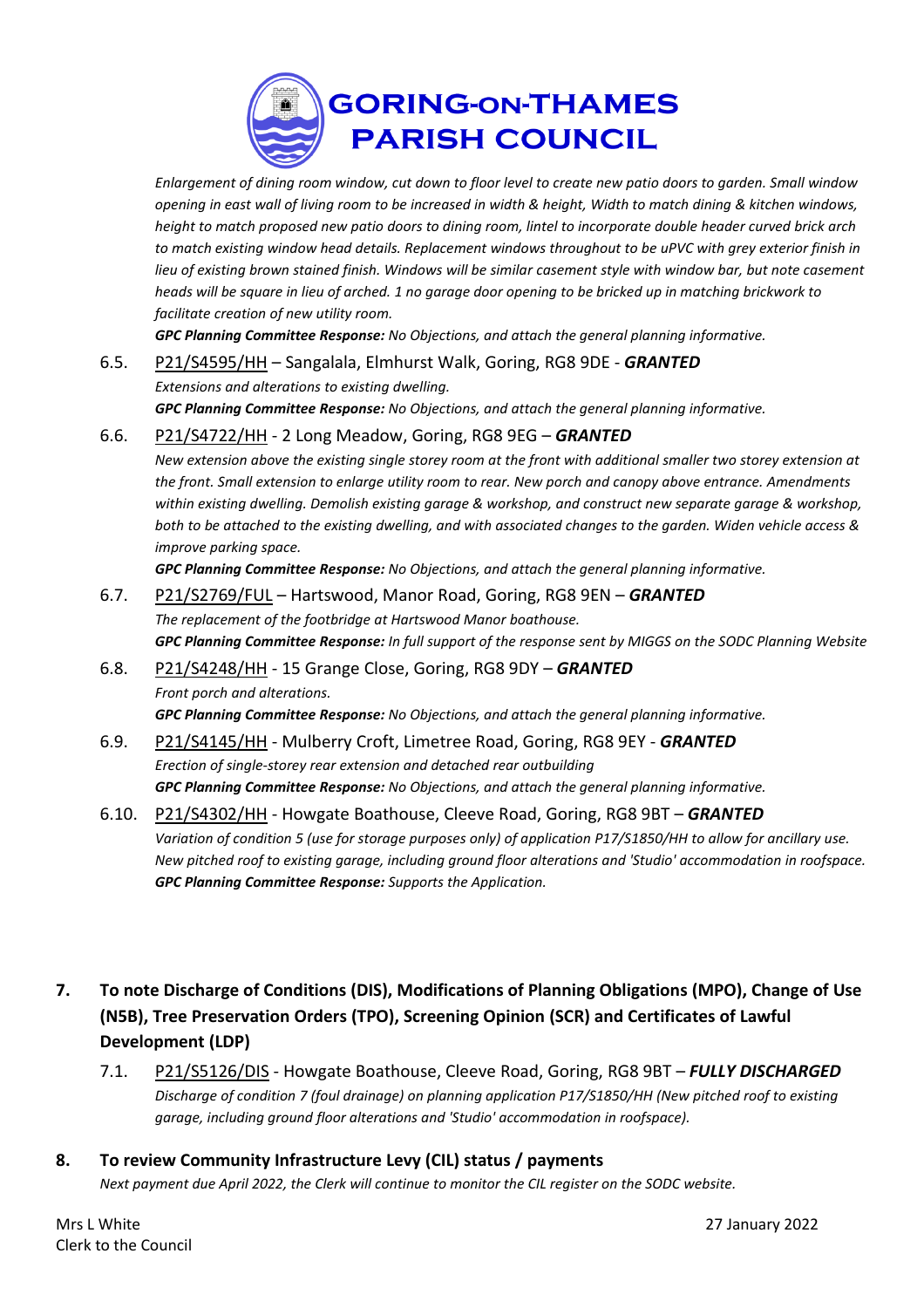

Enlargement of dining room window, cut down to floor level to create new patio doors to garden. Small window opening in east wall of living room to be increased in width & height, Width to match dining & kitchen windows, height to match proposed new patio doors to dining room, lintel to incorporate double header curved brick arch to match existing window head details. Replacement windows throughout to be uPVC with grey exterior finish in lieu of existing brown stained finish. Windows will be similar casement style with window bar, but note casement heads will be square in lieu of arched. 1 no garage door opening to be bricked up in matching brickwork to *facilitate creation of new utility room.*

*GPC Planning Committee Response: No Objections, and attach the general planning informative.*

# 6.5. [P21/S4595/HH](https://data.southoxon.gov.uk/ccm/support/Main.jsp?MODULE=ApplicationDetails&REF=P21/S4595/HH) – Sangalala, Elmhurst Walk, Goring, RG8 9DE - *GRANTED Extensions and alterations to existing dwelling.*

*GPC Planning Committee Response: No Objections, and attach the general planning informative.*

#### 6.6. [P21/S4722/HH](https://data.southoxon.gov.uk/ccm/support/Main.jsp?MODULE=ApplicationDetails&REF=P21/S4722/HH) - 2 Long Meadow, Goring, RG8 9EG – *GRANTED*

New extension above the existing single storey room at the front with additional smaller two storey extension at the front. Small extension to enlarge utility room to rear. New porch and canopy above entrance. Amendments *within existing dwelling. Demolish existing garage & workshop, and construct new separate garage & workshop,* both to be attached to the existing dwelling, and with associated changes to the garden. Widen vehicle access & *improve parking space.*

*GPC Planning Committee Response: No Objections, and attach the general planning informative.*

## 6.7. [P21/S2769/FUL](https://data.southoxon.gov.uk/ccm/support/Main.jsp?MODULE=ApplicationDetails&REF=P21/S2769/FUL) – Hartswood, Manor Road, Goring, RG8 9EN – *GRANTED The replacement of the footbridge at Hartswood Manor boathouse.* GPC Planning Committee Response: In full support of the response sent by MIGGS on the SODC Planning Website

## 6.8. [P21/S4248/HH](https://data.southoxon.gov.uk/ccm/support/Main.jsp?MODULE=ApplicationDetails&REF=P21/S4248/HH) - 15 Grange Close, Goring, RG8 9DY – *GRANTED Front porch and alterations.*

#### *GPC Planning Committee Response: No Objections, and attach the general planning informative.*

## 6.9. [P21/S4145/HH](https://data.southoxon.gov.uk/ccm/support/Main.jsp?MODULE=ApplicationDetails&REF=P21/S4145/HH) - Mulberry Croft, Limetree Road, Goring, RG8 9EY - *GRANTED Erection of single-storey rear extension and detached rear outbuilding GPC Planning Committee Response: No Objections, and attach the general planning informative.*

## 6.10. [P21/S4302/HH](https://data.southoxon.gov.uk/ccm/support/Main.jsp?MODULE=ApplicationDetails&REF=P21/S4302/HH) - Howgate Boathouse, Cleeve Road, Goring, RG8 9BT – *GRANTED* Variation of condition 5 (use for storage purposes only) of application P17/S1850/HH to allow for ancillary use. *New pitched roof to existing garage, including ground floor alterations and 'Studio' accommodation in roofspace. GPC Planning Committee Response: Supports the Application.*

- **7. To note Discharge of Conditions (DIS), Modifications of Planning Obligations (MPO), Change of Use (N5B), Tree Preservation Orders (TPO), Screening Opinion (SCR) and Certificates of Lawful Development (LDP)**
	- 7.1. [P21/S5126/DIS](https://data.southoxon.gov.uk/ccm/support/Main.jsp?MODULE=ApplicationDetails&REF=P21/S5126/DIS) Howgate Boathouse, Cleeve Road, Goring, RG8 9BT *FULLY DISCHARGED Discharge of condition 7 (foul drainage) on planning application P17/S1850/HH (New pitched roof to existing garage, including ground floor alterations and 'Studio' accommodation in roofspace).*

## **8. To review Community Infrastructure Levy (CIL) status / payments**

Next payment due April 2022, the Clerk will continue to monitor the CIL register on the SODC website.